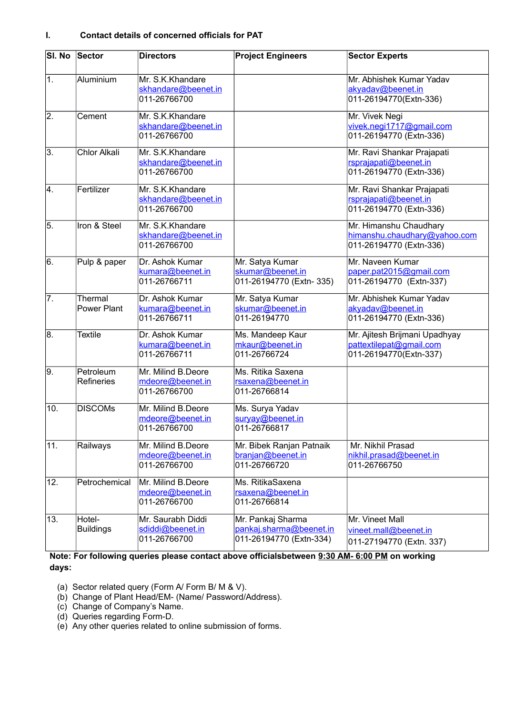| SI. No           | Sector                        | <b>Directors</b>                                        | <b>Project Engineers</b>                                                | <b>Sector Experts</b>                                                              |
|------------------|-------------------------------|---------------------------------------------------------|-------------------------------------------------------------------------|------------------------------------------------------------------------------------|
| $\overline{1}$ . | Aluminium                     | Mr. S.K.Khandare<br>skhandare@beenet.in<br>011-26766700 |                                                                         | Mr. Abhishek Kumar Yadav<br>akyadav@beenet.in<br>011-26194770(Extn-336)            |
| $\overline{2}$ . | Cement                        | Mr. S.K.Khandare<br>skhandare@beenet.in<br>011-26766700 |                                                                         | Mr. Vivek Negi<br>vivek.negi1717@gmail.com<br>011-26194770 (Extn-336)              |
| $\overline{3}$ . | <b>Chlor Alkali</b>           | Mr. S.K.Khandare<br>skhandare@beenet.in<br>011-26766700 |                                                                         | Mr. Ravi Shankar Prajapati<br>rsprajapati@beenet.in<br>011-26194770 (Extn-336)     |
| $\overline{4}$ . | Fertilizer                    | Mr. S.K.Khandare<br>skhandare@beenet.in<br>011-26766700 |                                                                         | Mr. Ravi Shankar Prajapati<br>rsprajapati@beenet.in<br>011-26194770 (Extn-336)     |
| 5.               | Iron & Steel                  | Mr. S.K.Khandare<br>skhandare@beenet.in<br>011-26766700 |                                                                         | Mr. Himanshu Chaudhary<br>himanshu.chaudhary@yahoo.com<br>011-26194770 (Extn-336)  |
| $\overline{6}$ . | Pulp & paper                  | Dr. Ashok Kumar<br>kumara@beenet.in<br>011-26766711     | Mr. Satya Kumar<br>skumar@beenet.in<br>011-26194770 (Extn-335)          | Mr. Naveen Kumar<br>paper.pat2015@gmail.com<br>011-26194770 (Extn-337)             |
| 7.               | Thermal<br><b>Power Plant</b> | Dr. Ashok Kumar<br>kumara@beenet.in<br>011-26766711     | Mr. Satya Kumar<br>skumar@beenet.in<br>011-26194770                     | Mr. Abhishek Kumar Yadav<br>akyadav@beenet.in<br>011-26194770 (Extn-336)           |
| 8.               | <b>Textile</b>                | Dr. Ashok Kumar<br>kumara@beenet.in<br>011-26766711     | Ms. Mandeep Kaur<br>mkaur@beenet.in<br>011-26766724                     | Mr. Ajitesh Brijmani Upadhyay<br>pattextilepat@gmail.com<br>011-26194770(Extn-337) |
| $\overline{9}$ . | Petroleum<br>Refineries       | Mr. Milind B.Deore<br>mdeore@beenet.in<br>011-26766700  | Ms. Ritika Saxena<br>rsaxena@beenet.in<br>011-26766814                  |                                                                                    |
| 10.              | <b>DISCOMs</b>                | Mr. Milind B.Deore<br>mdeore@beenet.in<br>011-26766700  | Ms. Surya Yadav<br>survay@beenet.in<br>011-26766817                     |                                                                                    |
| 11.              | Railways                      | Mr. Milind B.Deore<br>mdeore@beenet.in<br>011-26766700  | Mr. Bibek Ranjan Patnaik<br>branjan@beenet.in<br>011-26766720           | Mr. Nikhil Prasad<br>nikhil.prasad@beenet.in<br>011-26766750                       |
| 12.              | Petrochemical                 | Mr. Milind B.Deore<br>mdeore@beenet.in<br>011-26766700  | Ms. RitikaSaxena<br>rsaxena@beenet.in<br>011-26766814                   |                                                                                    |
| 13.              | Hotel-<br><b>Buildings</b>    | Mr. Saurabh Diddi<br>sdiddi@beenet.in<br>011-26766700   | Mr. Pankaj Sharma<br>pankaj.sharma@beenet.in<br>011-26194770 (Extn-334) | Mr. Vineet Mall<br>vineet.mall@beenet.in<br>011-27194770 (Extn. 337)               |

## **Note: For following queries please contact above officialsbetween 9:30 AM- 6:00 PM on working days:**

- (a) Sector related query (Form A/ Form B/ M & V).
- (b) Change of Plant Head/EM- (Name/ Password/Address).
- (c) Change of Company's Name.
- (d) Queries regarding Form-D.
- (e) Any other queries related to online submission of forms.